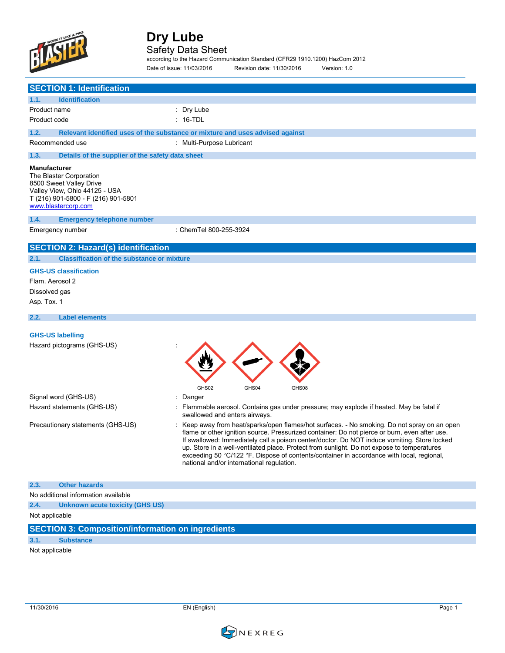

## Safety Data Sheet

according to the Hazard Communication Standard (CFR29 1910.1200) HazCom 2012 Date of issue: 11/03/2016 Revision date: 11/30/2016 Version: 1.0

| <b>SECTION 1: Identification</b>                                                                                                                                         |                                                                                                                                                                                                                                                                                                                                                                                                                                                                                                                                    |
|--------------------------------------------------------------------------------------------------------------------------------------------------------------------------|------------------------------------------------------------------------------------------------------------------------------------------------------------------------------------------------------------------------------------------------------------------------------------------------------------------------------------------------------------------------------------------------------------------------------------------------------------------------------------------------------------------------------------|
| 1.1.<br><b>Identification</b>                                                                                                                                            |                                                                                                                                                                                                                                                                                                                                                                                                                                                                                                                                    |
| Product name                                                                                                                                                             | : Dry Lube                                                                                                                                                                                                                                                                                                                                                                                                                                                                                                                         |
| Product code                                                                                                                                                             | $: 16$ -TDL                                                                                                                                                                                                                                                                                                                                                                                                                                                                                                                        |
| 1.2.                                                                                                                                                                     | Relevant identified uses of the substance or mixture and uses advised against                                                                                                                                                                                                                                                                                                                                                                                                                                                      |
| Recommended use                                                                                                                                                          | : Multi-Purpose Lubricant                                                                                                                                                                                                                                                                                                                                                                                                                                                                                                          |
| Details of the supplier of the safety data sheet<br>1.3.                                                                                                                 |                                                                                                                                                                                                                                                                                                                                                                                                                                                                                                                                    |
| <b>Manufacturer</b><br>The Blaster Corporation<br>8500 Sweet Valley Drive<br>Valley View, Ohio 44125 - USA<br>T (216) 901-5800 - F (216) 901-5801<br>www.blastercorp.com |                                                                                                                                                                                                                                                                                                                                                                                                                                                                                                                                    |
| 1.4.<br><b>Emergency telephone number</b>                                                                                                                                |                                                                                                                                                                                                                                                                                                                                                                                                                                                                                                                                    |
| Emergency number                                                                                                                                                         | : ChemTel 800-255-3924                                                                                                                                                                                                                                                                                                                                                                                                                                                                                                             |
| <b>SECTION 2: Hazard(s) identification</b>                                                                                                                               |                                                                                                                                                                                                                                                                                                                                                                                                                                                                                                                                    |
| 2.1.<br><b>Classification of the substance or mixture</b>                                                                                                                |                                                                                                                                                                                                                                                                                                                                                                                                                                                                                                                                    |
| <b>GHS-US classification</b><br>Flam. Aerosol 2<br>Dissolved gas<br>Asp. Tox. 1                                                                                          |                                                                                                                                                                                                                                                                                                                                                                                                                                                                                                                                    |
| 2.2.<br><b>Label elements</b>                                                                                                                                            |                                                                                                                                                                                                                                                                                                                                                                                                                                                                                                                                    |
| <b>GHS-US labelling</b><br>Hazard pictograms (GHS-US)                                                                                                                    | GHS02<br>GHS04<br>GHS08                                                                                                                                                                                                                                                                                                                                                                                                                                                                                                            |
| Signal word (GHS-US)                                                                                                                                                     | : Danger                                                                                                                                                                                                                                                                                                                                                                                                                                                                                                                           |
| Hazard statements (GHS-US)                                                                                                                                               | : Flammable aerosol. Contains gas under pressure; may explode if heated. May be fatal if<br>swallowed and enters airways.                                                                                                                                                                                                                                                                                                                                                                                                          |
| Precautionary statements (GHS-US)                                                                                                                                        | Keep away from heat/sparks/open flames/hot surfaces. - No smoking. Do not spray on an open<br>flame or other ignition source. Pressurized container: Do not pierce or burn, even after use.<br>If swallowed: Immediately call a poison center/doctor. Do NOT induce vomiting. Store locked<br>up. Store in a well-ventilated place. Protect from sunlight. Do not expose to temperatures<br>exceeding 50 °C/122 °F. Dispose of contents/container in accordance with local, regional,<br>national and/or international regulation. |
| 2.3.<br><b>Other hazards</b>                                                                                                                                             |                                                                                                                                                                                                                                                                                                                                                                                                                                                                                                                                    |
| No additional information available                                                                                                                                      |                                                                                                                                                                                                                                                                                                                                                                                                                                                                                                                                    |
| 2.4.<br>Unknown acute toxicity (GHS US)                                                                                                                                  |                                                                                                                                                                                                                                                                                                                                                                                                                                                                                                                                    |
| Not applicable                                                                                                                                                           |                                                                                                                                                                                                                                                                                                                                                                                                                                                                                                                                    |
| <b>SECTION 3: Composition/information on ingredients</b>                                                                                                                 |                                                                                                                                                                                                                                                                                                                                                                                                                                                                                                                                    |
| 3.1.<br><b>Substance</b>                                                                                                                                                 |                                                                                                                                                                                                                                                                                                                                                                                                                                                                                                                                    |
| Not applicable                                                                                                                                                           |                                                                                                                                                                                                                                                                                                                                                                                                                                                                                                                                    |

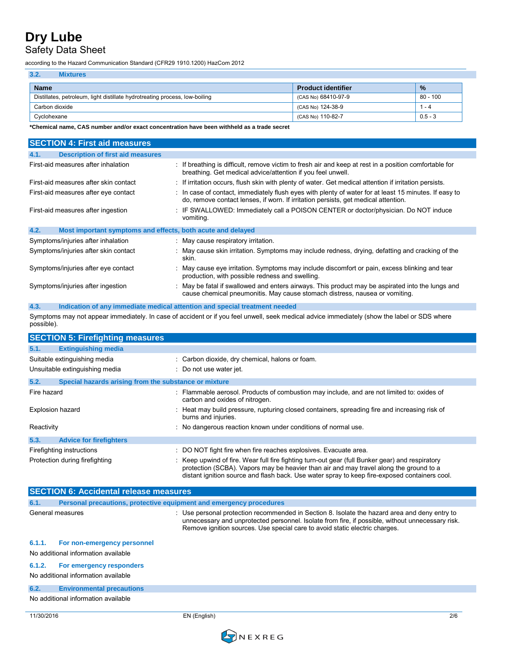## Safety Data Sheet

according to the Hazard Communication Standard (CFR29 1910.1200) HazCom 2012

| 3.2.<br><b>Mixtures</b>                                                     |                           |               |
|-----------------------------------------------------------------------------|---------------------------|---------------|
| <b>Name</b>                                                                 | <b>Product identifier</b> | $\frac{9}{6}$ |
| Distillates, petroleum, light distillate hydrotreating process, low-boiling | (CAS No) 68410-97-9       | $80 - 100$    |
| Carbon dioxide                                                              | (CAS No) 124-38-9         | l - 4         |
| Cyclohexane                                                                 | (CAS No) 110-82-7         | $0.5 - 3$     |

**\*Chemical name, CAS number and/or exact concentration have been withheld as a trade secret** 

| <b>SECTION 4: First aid measures</b>                                |                                                                                                                                                                                             |
|---------------------------------------------------------------------|---------------------------------------------------------------------------------------------------------------------------------------------------------------------------------------------|
| 4.1.<br><b>Description of first aid measures</b>                    |                                                                                                                                                                                             |
| First-aid measures after inhalation                                 | : If breathing is difficult, remove victim to fresh air and keep at rest in a position comfortable for<br>breathing. Get medical advice/attention if you feel unwell.                       |
| First-aid measures after skin contact                               | : If irritation occurs, flush skin with plenty of water. Get medical attention if irritation persists.                                                                                      |
| First-aid measures after eye contact                                | : In case of contact, immediately flush eyes with plenty of water for at least 15 minutes. If easy to<br>do, remove contact lenses, if worn. If irritation persists, get medical attention. |
| First-aid measures after ingestion                                  | : IF SWALLOWED: Immediately call a POISON CENTER or doctor/physician. Do NOT induce<br>vomiting.                                                                                            |
| 4.2.<br>Most important symptoms and effects, both acute and delayed |                                                                                                                                                                                             |
| Symptoms/injuries after inhalation                                  | : May cause respiratory irritation.                                                                                                                                                         |
| Symptoms/injuries after skin contact                                | : May cause skin irritation. Symptoms may include redness, drying, defatting and cracking of the<br>skin.                                                                                   |
| Symptoms/injuries after eye contact                                 | : May cause eye irritation. Symptoms may include discomfort or pain, excess blinking and tear<br>production, with possible redness and swelling.                                            |
| Symptoms/injuries after ingestion                                   | : May be fatal if swallowed and enters airways. This product may be aspirated into the lungs and<br>cause chemical pneumonitis. May cause stomach distress, nausea or vomiting.             |
| 4.3.                                                                | Indication of any immediate medical attention and special treatment needed                                                                                                                  |

Symptoms may not appear immediately. In case of accident or if you feel unwell, seek medical advice immediately (show the label or SDS where possible).

|                                | <b>SECTION 5: Firefighting measures</b>               |                                                                                                                                                                                                                                                                                            |  |  |
|--------------------------------|-------------------------------------------------------|--------------------------------------------------------------------------------------------------------------------------------------------------------------------------------------------------------------------------------------------------------------------------------------------|--|--|
| 5.1.                           | <b>Extinguishing media</b>                            |                                                                                                                                                                                                                                                                                            |  |  |
|                                | Suitable extinguishing media                          | : Carbon dioxide, dry chemical, halons or foam.                                                                                                                                                                                                                                            |  |  |
| Unsuitable extinguishing media |                                                       | : Do not use water jet.                                                                                                                                                                                                                                                                    |  |  |
| 5.2.                           | Special hazards arising from the substance or mixture |                                                                                                                                                                                                                                                                                            |  |  |
| Fire hazard                    |                                                       | : Flammable aerosol. Products of combustion may include, and are not limited to: oxides of<br>carbon and oxides of nitrogen.                                                                                                                                                               |  |  |
| <b>Explosion hazard</b>        |                                                       | : Heat may build pressure, rupturing closed containers, spreading fire and increasing risk of<br>burns and injuries.                                                                                                                                                                       |  |  |
| Reactivity                     |                                                       | : No dangerous reaction known under conditions of normal use.                                                                                                                                                                                                                              |  |  |
| 5.3.                           | <b>Advice for firefighters</b>                        |                                                                                                                                                                                                                                                                                            |  |  |
| Firefighting instructions      |                                                       | : DO NOT fight fire when fire reaches explosives. Evacuate area.                                                                                                                                                                                                                           |  |  |
| Protection during firefighting |                                                       | : Keep upwind of fire. Wear full fire fighting turn-out gear (full Bunker gear) and respiratory<br>protection (SCBA). Vapors may be heavier than air and may travel along the ground to a<br>distant ignition source and flash back. Use water spray to keep fire-exposed containers cool. |  |  |

|            | <b>SECTION 6: Accidental release measures</b>                       |                                                                                                                                                                                                                                                                                  |     |  |
|------------|---------------------------------------------------------------------|----------------------------------------------------------------------------------------------------------------------------------------------------------------------------------------------------------------------------------------------------------------------------------|-----|--|
| 6.1.       | Personal precautions, protective equipment and emergency procedures |                                                                                                                                                                                                                                                                                  |     |  |
|            | General measures                                                    | : Use personal protection recommended in Section 8. Isolate the hazard area and deny entry to<br>unnecessary and unprotected personnel. Isolate from fire, if possible, without unnecessary risk.<br>Remove ignition sources. Use special care to avoid static electric charges. |     |  |
| 6.1.1.     | For non-emergency personnel<br>No additional information available  |                                                                                                                                                                                                                                                                                  |     |  |
| 6.1.2.     | For emergency responders<br>No additional information available     |                                                                                                                                                                                                                                                                                  |     |  |
| 6.2.       | <b>Environmental precautions</b>                                    |                                                                                                                                                                                                                                                                                  |     |  |
|            | No additional information available                                 |                                                                                                                                                                                                                                                                                  |     |  |
| 11/30/2016 |                                                                     | EN (English)                                                                                                                                                                                                                                                                     | 2/6 |  |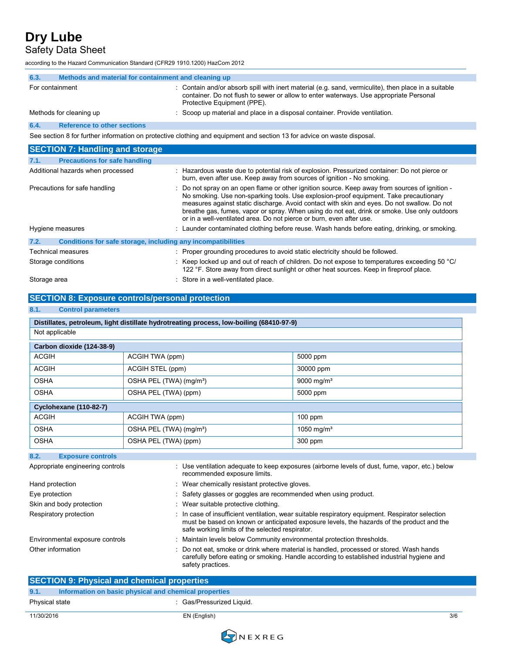# Safety Data Sheet

according to the Hazard Communication Standard (CFR29 1910.1200) HazCom 2012

| 6.3.                                                                                                                    | Methods and material for containment and cleaning up                                                                               |                                                                                                                                                                                                                               |  |  |  |
|-------------------------------------------------------------------------------------------------------------------------|------------------------------------------------------------------------------------------------------------------------------------|-------------------------------------------------------------------------------------------------------------------------------------------------------------------------------------------------------------------------------|--|--|--|
|                                                                                                                         | For containment                                                                                                                    | : Contain and/or absorb spill with inert material (e.g. sand, vermiculite), then place in a suitable<br>container. Do not flush to sewer or allow to enter waterways. Use appropriate Personal<br>Protective Equipment (PPE). |  |  |  |
|                                                                                                                         | Methods for cleaning up                                                                                                            | : Scoop up material and place in a disposal container. Provide ventilation.                                                                                                                                                   |  |  |  |
| 6.4.                                                                                                                    | <b>Reference to other sections</b>                                                                                                 |                                                                                                                                                                                                                               |  |  |  |
| See section 8 for further information on protective clothing and equipment and section 13 for advice on waste disposal. |                                                                                                                                    |                                                                                                                                                                                                                               |  |  |  |
|                                                                                                                         | <b>SECTION 7: Handling and storage</b>                                                                                             |                                                                                                                                                                                                                               |  |  |  |
| 7.1.                                                                                                                    | <b>Precautions for safe handling</b>                                                                                               |                                                                                                                                                                                                                               |  |  |  |
|                                                                                                                         | Additional hazards when processed<br>: Hazardous waste due to potential risk of explosion. Pressurized container: Do not pierce or |                                                                                                                                                                                                                               |  |  |  |

|                                                                      | burn, even after use. Keep away from sources of ignition - No smoking.                                                                                                                                                                                                                                                                                                                                                                                         |
|----------------------------------------------------------------------|----------------------------------------------------------------------------------------------------------------------------------------------------------------------------------------------------------------------------------------------------------------------------------------------------------------------------------------------------------------------------------------------------------------------------------------------------------------|
| Precautions for safe handling                                        | : Do not spray on an open flame or other ignition source. Keep away from sources of ignition -<br>No smoking. Use non-sparking tools. Use explosion-proof equipment. Take precautionary<br>measures against static discharge. Avoid contact with skin and eyes. Do not swallow. Do not<br>breathe gas, fumes, vapor or spray. When using do not eat, drink or smoke. Use only outdoors<br>or in a well-ventilated area. Do not pierce or burn, even after use. |
| Hygiene measures                                                     | : Launder contaminated clothing before reuse. Wash hands before eating, drinking, or smoking.                                                                                                                                                                                                                                                                                                                                                                  |
| 7.2.<br>Conditions for safe storage, including any incompatibilities |                                                                                                                                                                                                                                                                                                                                                                                                                                                                |
| <b>Technical measures</b>                                            | : Proper grounding procedures to avoid static electricity should be followed.                                                                                                                                                                                                                                                                                                                                                                                  |

| Storage conditions | Keep locked up and out of reach of children. Do not expose to temperatures exceeding 50 °C/<br>122 °F. Store away from direct sunlight or other heat sources. Keep in fireproof place. |
|--------------------|----------------------------------------------------------------------------------------------------------------------------------------------------------------------------------------|
| Storage area       | Store in a well-ventilated place.                                                                                                                                                      |

## **SECTION 8: Exposure controls/personal protection**

### **8.1. Control parameters**

| Distillates, petroleum, light distillate hydrotreating process, low-boiling (68410-97-9) |                                     |                        |  |  |  |  |
|------------------------------------------------------------------------------------------|-------------------------------------|------------------------|--|--|--|--|
| Not applicable                                                                           |                                     |                        |  |  |  |  |
| Carbon dioxide (124-38-9)                                                                |                                     |                        |  |  |  |  |
| <b>ACGIH</b>                                                                             | ACGIH TWA (ppm)                     | 5000 ppm               |  |  |  |  |
| <b>ACGIH</b>                                                                             | ACGIH STEL (ppm)                    | 30000 ppm              |  |  |  |  |
| <b>OSHA</b>                                                                              | OSHA PEL (TWA) (mg/m <sup>3</sup> ) | 9000 mg/m <sup>3</sup> |  |  |  |  |
| <b>OSHA</b><br>OSHA PEL (TWA) (ppm)<br>5000 ppm                                          |                                     |                        |  |  |  |  |
| <b>Cyclohexane (110-82-7)</b>                                                            |                                     |                        |  |  |  |  |
| <b>ACGIH</b>                                                                             | ACGIH TWA (ppm)                     | $100$ ppm              |  |  |  |  |
| <b>OSHA</b>                                                                              | OSHA PEL (TWA) (mg/m <sup>3</sup> ) | 1050 mg/m <sup>3</sup> |  |  |  |  |
| <b>OSHA</b><br>OSHA PEL (TWA) (ppm)<br>300 ppm                                           |                                     |                        |  |  |  |  |

#### **8.2. Exposure controls**

| Appropriate engineering controls | : Use ventilation adequate to keep exposures (airborne levels of dust, fume, vapor, etc.) below<br>recommended exposure limits.                                                                                                                             |
|----------------------------------|-------------------------------------------------------------------------------------------------------------------------------------------------------------------------------------------------------------------------------------------------------------|
| Hand protection                  | : Wear chemically resistant protective gloves.                                                                                                                                                                                                              |
| Eye protection                   | : Safety glasses or goggles are recommended when using product.                                                                                                                                                                                             |
| Skin and body protection         | : Wear suitable protective clothing.                                                                                                                                                                                                                        |
| Respiratory protection           | $\therefore$ In case of insufficient ventilation, wear suitable respiratory equipment. Respirator selection<br>must be based on known or anticipated exposure levels, the hazards of the product and the<br>safe working limits of the selected respirator. |
| Environmental exposure controls  | : Maintain levels below Community environmental protection thresholds.                                                                                                                                                                                      |
| Other information                | : Do not eat, smoke or drink where material is handled, processed or stored. Wash hands<br>carefully before eating or smoking. Handle according to established industrial hygiene and<br>safety practices.                                                  |

| <b>SECTION 9: Physical and chemical properties</b> |                                                       |     |  |
|----------------------------------------------------|-------------------------------------------------------|-----|--|
| 9.1.                                               | Information on basic physical and chemical properties |     |  |
| Physical state                                     | : Gas/Pressurized Liquid.                             |     |  |
| 11/30/2016                                         | EN (English)                                          | 3/6 |  |

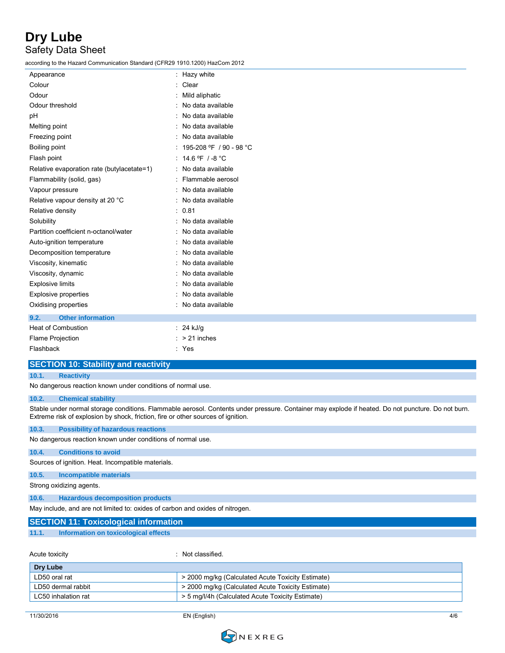# **Dry Lube** Safety Data Sheet

according to the Hazard Communication Standard (CFR29 1910.1200) HazCom 2012

| Appearance                                 | Hazy white              |
|--------------------------------------------|-------------------------|
| Colour                                     | Clear                   |
| Odour                                      | Mild aliphatic          |
| Odour threshold                            | No data available       |
| рH                                         | No data available       |
| Melting point                              | No data available       |
| Freezing point                             | No data available       |
| Boiling point                              | 195-208 °F / 90 - 98 °C |
| Flash point                                | 14.6 °F $/$ -8 °C       |
| Relative evaporation rate (butylacetate=1) | No data available       |
| Flammability (solid, gas)                  | Flammable aerosol       |
| Vapour pressure                            | No data available       |
| Relative vapour density at 20 °C           | No data available       |
| Relative density                           | 0.81                    |
| Solubility                                 | No data available       |
| Partition coefficient n-octanol/water      | No data available       |
| Auto-ignition temperature                  | No data available       |
| Decomposition temperature                  | No data available       |
| Viscosity, kinematic                       | No data available       |
| Viscosity, dynamic                         | No data available       |
| <b>Explosive limits</b>                    | No data available       |
| <b>Explosive properties</b>                | No data available       |
| Oxidising properties                       | No data available       |
| <b>Other information</b><br>9.2.           |                         |
| <b>Heat of Combustion</b>                  | 24 kJ/g                 |
| <b>Flame Projection</b>                    | > 21 inches             |

| Flame Projection |       |
|------------------|-------|
| <b>Flashback</b> | : Yes |
|                  |       |

### **SECTION 10: Stability and reactivity**

### **10.1. Reactivity**

No dangerous reaction known under conditions of normal use.

#### **10.2. Chemical stability**

Stable under normal storage conditions. Flammable aerosol. Contents under pressure. Container may explode if heated. Do not puncture. Do not burn. Extreme risk of explosion by shock, friction, fire or other sources of ignition.

#### **10.3. Possibility of hazardous reactions**

No dangerous reaction known under conditions of normal use.

#### **10.4. Conditions to avoid**

Sources of ignition. Heat. Incompatible materials.

#### **10.5. Incompatible materials**

Strong oxidizing agents.

#### **10.6. Hazardous decomposition products**

May include, and are not limited to: oxides of carbon and oxides of nitrogen.

### **SECTION 11: Toxicological information**

#### **11.1. Information on toxicological effects**

Acute toxicity **in the case of the contract of the contract of the contract of the contract of the contract of the contract of the contract of the contract of the contract of the contract of the contract of the contract of** 

| Dry Lube            |                                                   |
|---------------------|---------------------------------------------------|
| LD50 oral rat       | > 2000 mg/kg (Calculated Acute Toxicity Estimate) |
| LD50 dermal rabbit  | > 2000 mg/kg (Calculated Acute Toxicity Estimate) |
| LC50 inhalation rat | > 5 mg/l/4h (Calculated Acute Toxicity Estimate)  |

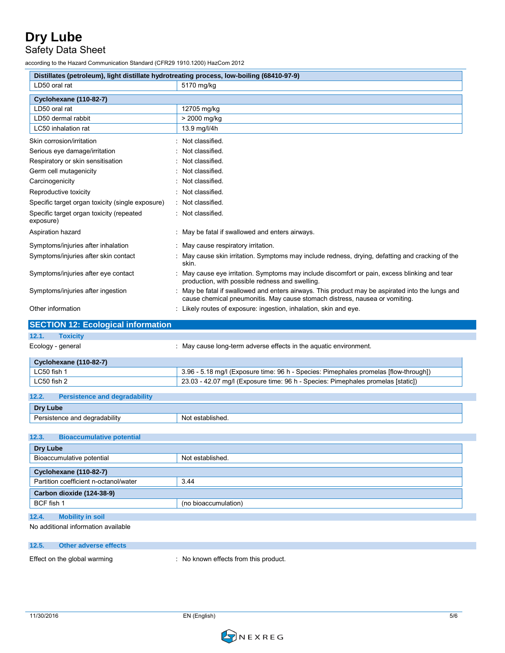## Safety Data Sheet

according to the Hazard Communication Standard (CFR29 1910.1200) HazCom 2012

| Distillates (petroleum), light distillate hydrotreating process, low-boiling (68410-97-9) |                                                                                                                                                                               |
|-------------------------------------------------------------------------------------------|-------------------------------------------------------------------------------------------------------------------------------------------------------------------------------|
| LD50 oral rat                                                                             | 5170 mg/kg                                                                                                                                                                    |
| <b>Cyclohexane (110-82-7)</b>                                                             |                                                                                                                                                                               |
| LD50 oral rat                                                                             | 12705 mg/kg                                                                                                                                                                   |
| LD50 dermal rabbit                                                                        | > 2000 mg/kg                                                                                                                                                                  |
| LC50 inhalation rat                                                                       | 13.9 mg/l/4h                                                                                                                                                                  |
| Skin corrosion/irritation                                                                 | : Not classified.                                                                                                                                                             |
| Serious eye damage/irritation                                                             | : Not classified.                                                                                                                                                             |
| Respiratory or skin sensitisation                                                         | : Not classified.                                                                                                                                                             |
| Germ cell mutagenicity                                                                    | : Not classified.                                                                                                                                                             |
| Carcinogenicity                                                                           | : Not classified.                                                                                                                                                             |
| Reproductive toxicity                                                                     | : Not classified.                                                                                                                                                             |
| Specific target organ toxicity (single exposure)                                          | : Not classified.                                                                                                                                                             |
| Specific target organ toxicity (repeated<br>exposure)                                     | : Not classified.                                                                                                                                                             |
| Aspiration hazard                                                                         | : May be fatal if swallowed and enters airways.                                                                                                                               |
| Symptoms/injuries after inhalation                                                        | : May cause respiratory irritation.                                                                                                                                           |
| Symptoms/injuries after skin contact                                                      | : May cause skin irritation. Symptoms may include redness, drying, defatting and cracking of the<br>skin.                                                                     |
| Symptoms/injuries after eye contact                                                       | : May cause eye irritation. Symptoms may include discomfort or pain, excess blinking and tear<br>production, with possible redness and swelling.                              |
| Symptoms/injuries after ingestion                                                         | May be fatal if swallowed and enters airways. This product may be aspirated into the lungs and<br>cause chemical pneumonitis. May cause stomach distress, nausea or vomiting. |
| Other information                                                                         | : Likely routes of exposure: ingestion, inhalation, skin and eye.                                                                                                             |
| <b>SECTION 12: Ecological information</b>                                                 |                                                                                                                                                                               |
| 12.1.<br><b>Toxicity</b>                                                                  |                                                                                                                                                                               |
| Ecology - general                                                                         | : May cause long-term adverse effects in the aquatic environment.                                                                                                             |
| <b>Cyclohexane (110-82-7)</b>                                                             |                                                                                                                                                                               |
| LC50 fish 1                                                                               | 3.96 - 5.18 mg/l (Exposure time: 96 h - Species: Pimephales promelas [flow-through])                                                                                          |
| LC50 fish 2                                                                               | 23.03 - 42.07 mg/l (Exposure time: 96 h - Species: Pimephales promelas [static])                                                                                              |
| 12.2.<br><b>Persistence and degradability</b>                                             |                                                                                                                                                                               |
|                                                                                           |                                                                                                                                                                               |
| Dry Lube                                                                                  |                                                                                                                                                                               |
| Persistence and degradability                                                             | Not established.                                                                                                                                                              |
| <b>Bioaccumulative potential</b>                                                          |                                                                                                                                                                               |
| <b>Dry Lube</b>                                                                           |                                                                                                                                                                               |
| Bioaccumulative potential                                                                 | Not established.                                                                                                                                                              |
| <b>Cyclohexane (110-82-7)</b>                                                             |                                                                                                                                                                               |
| Partition coefficient n-octanol/water                                                     | 3.44                                                                                                                                                                          |
| Carbon dioxide (124-38-9)                                                                 |                                                                                                                                                                               |
| BCF fish 1                                                                                | (no bioaccumulation)                                                                                                                                                          |
|                                                                                           |                                                                                                                                                                               |
| <b>Mobility in soil</b><br>12.4.                                                          |                                                                                                                                                                               |
| 12.3.<br>No additional information available                                              |                                                                                                                                                                               |
| 12.5.<br><b>Other adverse effects</b>                                                     |                                                                                                                                                                               |